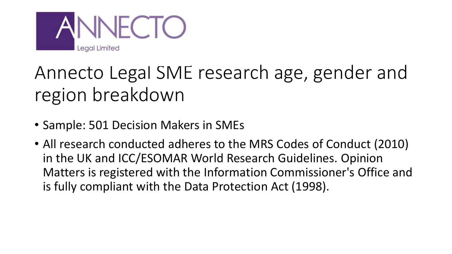

# Annecto Legal SME research age, gender and region breakdown

- Sample: 501 Decision Makers in SMEs
- All research conducted adheres to the MRS Codes of Conduct (2010) in the UK and ICC/ESOMAR World Research Guidelines. Opinion Matters is registered with the Information Commissioner's Office and is fully compliant with the Data Protection Act (1998).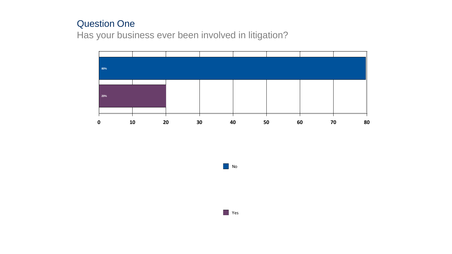## Question One

Has your business ever been involved in litigation?



**No** 

**T** Yes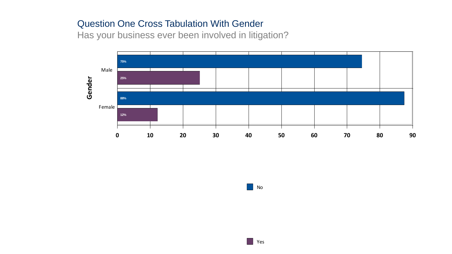#### Question One Cross Tabulation With Gender

Has your business ever been involved in litigation?



**No**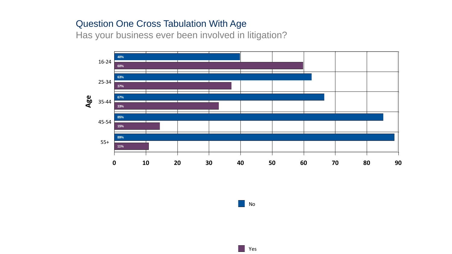#### Question One Cross Tabulation With Age

Has your business ever been involved in litigation?



No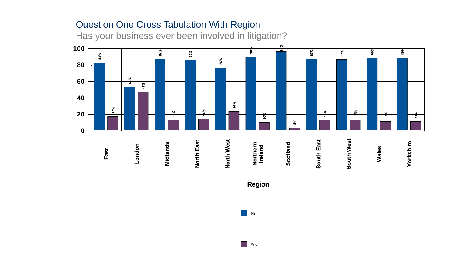# Question One Cross Tabulation With Region

Has your business ever been involved in litigation?



**No.** Yes

 $\blacksquare$  No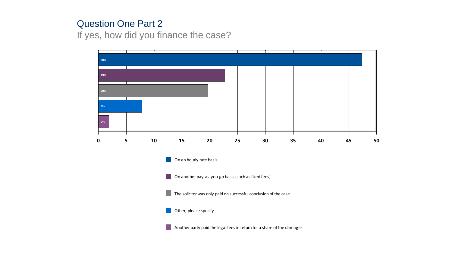#### Question One Part 2

If yes, how did you finance the case?

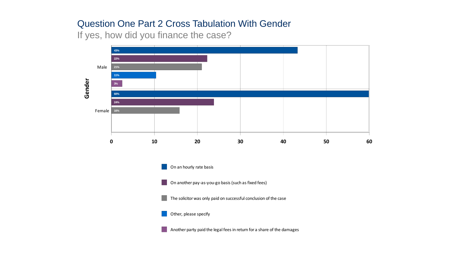#### Question One Part 2 Cross Tabulation With Gender

If yes, how did you finance the case?



Another party paid the legal fees in return for a share of the damages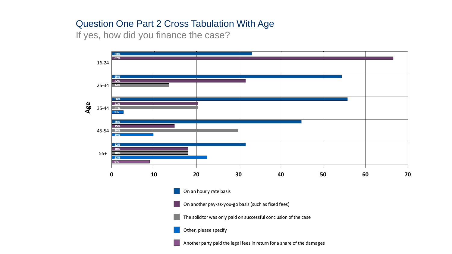## Question One Part 2 Cross Tabulation With Age

If yes, how did you finance the case?

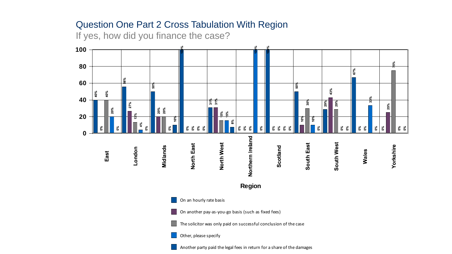## Question One Part 2 Cross Tabulation With Region

If yes, how did you finance the case?

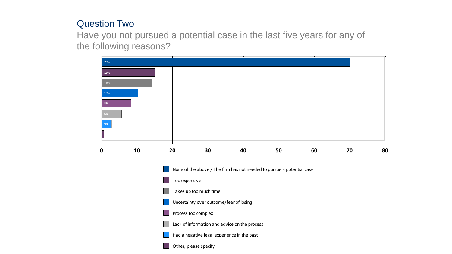## Question Two

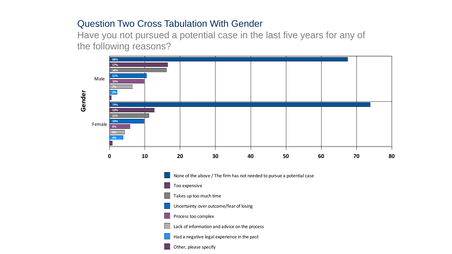#### Question Two Cross Tabulation With Gender

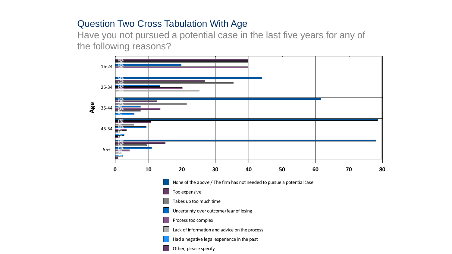## Question Two Cross Tabulation With Age

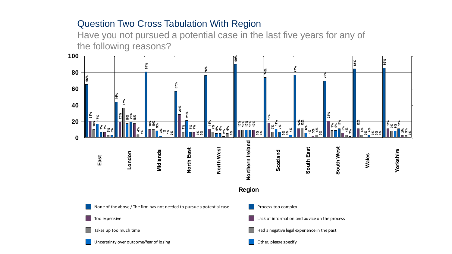# Question Two Cross Tabulation With Region

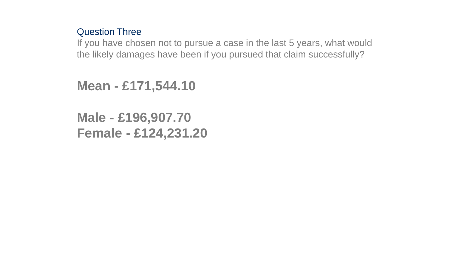#### Question Three

If you have chosen not to pursue a case in the last 5 years, what would the likely damages have been if you pursued that claim successfully?

```
Mean - £171,544.10
```

```
Male - £196,907.70
Female - £124,231.20
```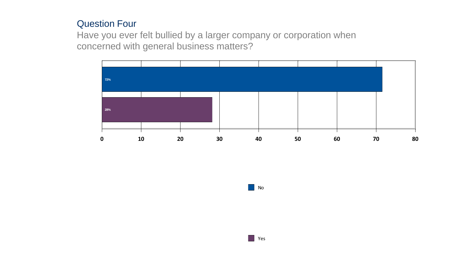#### Question Four

Have you ever felt bullied by a larger company or corporation when concerned with general business matters?



**No**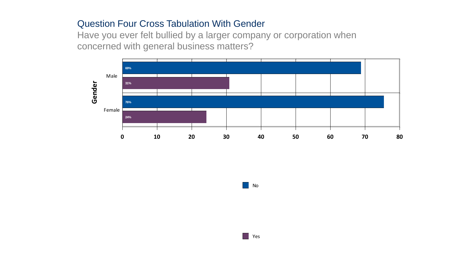#### Question Four Cross Tabulation With Gender

Have you ever felt bullied by a larger company or corporation when concerned with general business matters?



| No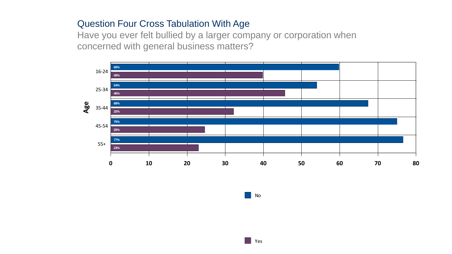## Question Four Cross Tabulation With Age

Have you ever felt bullied by a larger company or corporation when concerned with general business matters?



No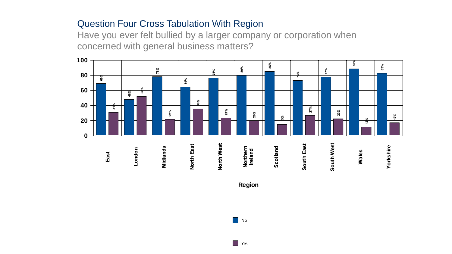# Question Four Cross Tabulation With Region

Have you ever felt bullied by a larger company or corporation when concerned with general business matters?



**Region**

 $\Box$  No

**N** Yes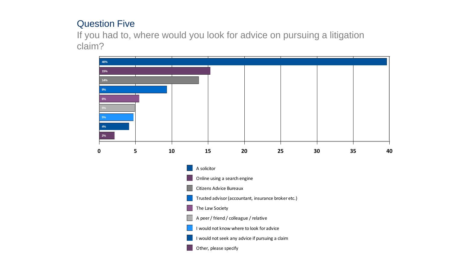# Question Five

If you had to, where would you look for advice on pursuing a litigation claim?

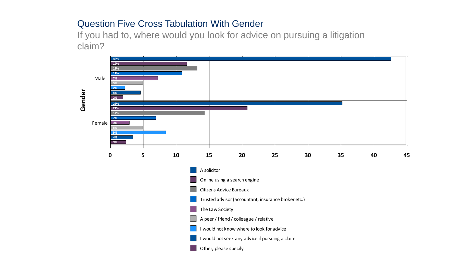## Question Five Cross Tabulation With Gender

If you had to, where would you look for advice on pursuing a litigation claim?

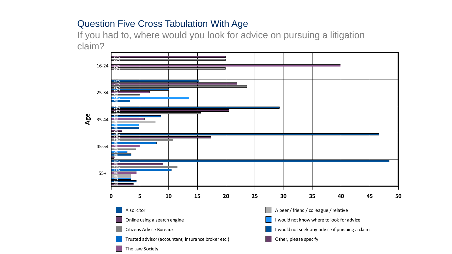# Question Five Cross Tabulation With Age

If you had to, where would you look for advice on pursuing a litigation claim?

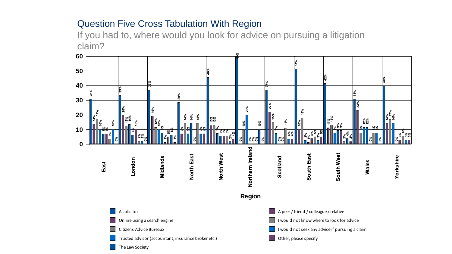# Question Five Cross Tabulation With Region

If you had to, where would you look for advice on pursuing a litigation claim? **C**<br>If<br>C<br>60<br>50

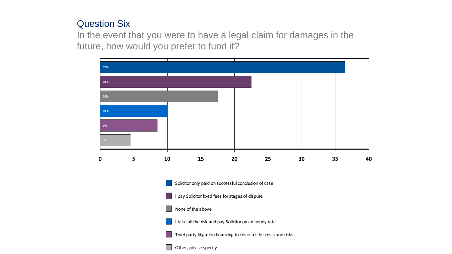## Question Six

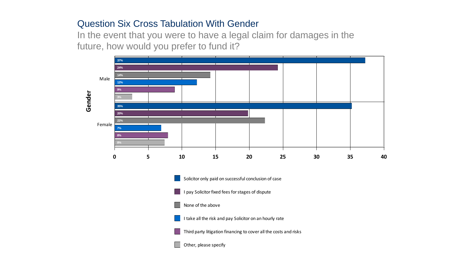## Question Six Cross Tabulation With Gender

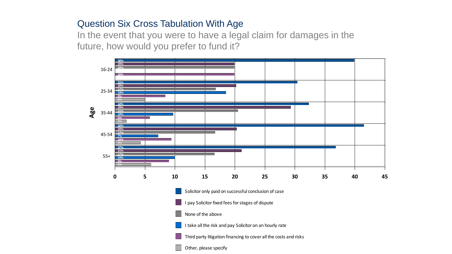## Question Six Cross Tabulation With Age